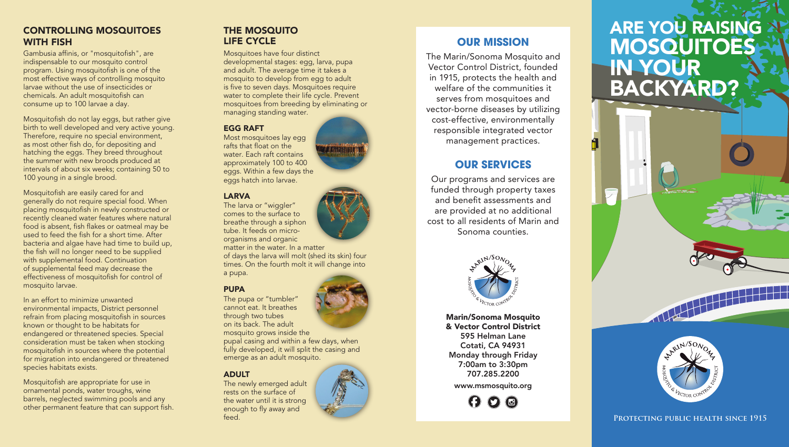### CONTROLLING MOSQUITOES WITH FISH

Gambusia affinis, or "mosquitofish", are indispensable to our mosquito control program. Using mosquitofish is one of the most effective ways of controlling mosquito larvae without the use of insecticides or chemicals. An adult mosquitofish can consume up to 100 larvae a day.

Mosquitofish do not lay eggs, but rather give birth to well developed and very active young. Therefore, require no special environment, as most other fish do, for depositing and hatching the eggs. They breed throughout the summer with new broods produced at intervals of about six weeks; containing 50 to 100 young in a single brood.

Mosquitofish are easily cared for and generally do not require special food. When placing mosquitofish in newly constructed or recently cleaned water features where natural food is absent, fish flakes or oatmeal may be used to feed the fish for a short time. After bacteria and algae have had time to build up, the fish will no longer need to be supplied with supplemental food. Continuation of supplemental feed may decrease the effectiveness of mosquitofish for control of mosquito larvae.

In an effort to minimize unwanted environmental impacts, District personnel refrain from placing mosquitofish in sources known or thought to be habitats for endangered or threatened species. Special consideration must be taken when stocking mosquitofish in sources where the potential for migration into endangered or threatened species habitats exists.

Mosquitofish are appropriate for use in ornamental ponds, water troughs, wine barrels, neglected swimming pools and any other permanent feature that can support fish.

## THE MOSQUITO LIFE CYCLE

Mosquitoes have four distinct developmental stages: egg, larva, pupa and adult. The average time it takes a mosquito to develop from egg to adult is five to seven days. Mosquitoes require water to complete their life cycle. Prevent mosquitoes from breeding by eliminating or managing standing water.

#### EGG RAFT

Most mosquitoes lay egg rafts that float on the water. Each raft contains approximately 100 to 400 eggs. Within a few days the eggs hatch into larvae.

#### LARVA

The larva or "wiggler" comes to the surface to breathe through a siphon tube. It feeds on microorganisms and organic matter in the water. In a matter of days the larva will molt (shed its skin) four times. On the fourth molt it will change into a pupa.

#### PUPA

The pupa or "tumbler" cannot eat. It breathes through two tubes on its back. The adult mosquito grows inside the pupal casing and within a few days, when fully developed, it will split the casing and emerge as an adult mosquito.

#### ADULT

The newly emerged adult rests on the surface of the water until it is strong enough to fly away and feed.

OUR MISSION

The Marin/Sonoma Mosquito and Vector Control District, founded in 1915, protects the health and welfare of the communities it serves from mosquitoes and vector-borne diseases by utilizing cost-effective, environmentally responsible integrated vector management practices.

# OUR SERVICES

Our programs and services are funded through property taxes and benefit assessments and are provided at no additional cost to all residents of Marin and Sonoma counties.



Marin/Sonoma Mosquito & Vector Control District 595 Helman Lane Cotati, CA 94931 Monday through Friday 7:00am to 3:30pm 707.285.2200 www.msmosquito.org

 $\boldsymbol{\Theta}$   $\boldsymbol{\Omega}$   $\boldsymbol{\Theta}$ 

# **ARE YOU RAISING A! MOSQUITOES** IN YOUR BACKYARD?



PROTECTING PUBLIC HEALTH SINCE 1915